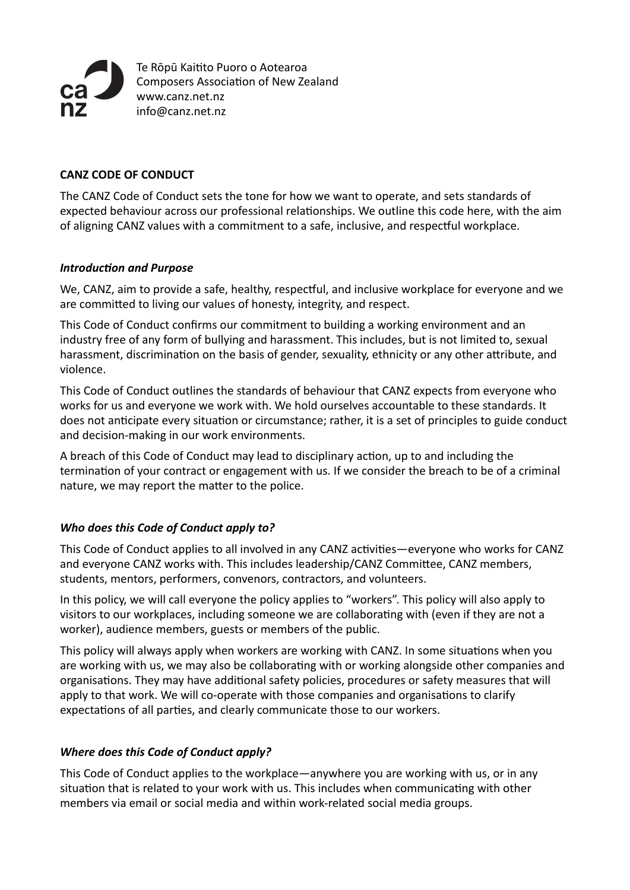

Te Rōpū Kaitito Puoro o Aotearoa Composers Association of New Zealand [www.canz.net.nz](http://www.canz.net.nz) [info@canz.net.nz](mailto:canzonetta@canz.net.nz)

## **CANZ CODE OF CONDUCT**

The CANZ Code of Conduct sets the tone for how we want to operate, and sets standards of expected behaviour across our professional relationships. We outline this code here, with the aim of aligning CANZ values with a commitment to a safe, inclusive, and respectful workplace.

#### *Introduction and Purpose*

We, CANZ, aim to provide a safe, healthy, respectful, and inclusive workplace for everyone and we are committed to living our values of honesty, integrity, and respect.

This Code of Conduct confirms our commitment to building a working environment and an industry free of any form of bullying and harassment. This includes, but is not limited to, sexual harassment, discrimination on the basis of gender, sexuality, ethnicity or any other attribute, and violence.

This Code of Conduct outlines the standards of behaviour that CANZ expects from everyone who works for us and everyone we work with. We hold ourselves accountable to these standards. It does not anticipate every situation or circumstance; rather, it is a set of principles to guide conduct and decision-making in our work environments.

A breach of this Code of Conduct may lead to disciplinary action, up to and including the termination of your contract or engagement with us. If we consider the breach to be of a criminal nature, we may report the matter to the police.

## *Who does this Code of Conduct apply to?*

This Code of Conduct applies to all involved in any CANZ activities—everyone who works for CANZ and everyone CANZ works with. This includes leadership/CANZ Committee, CANZ members, students, mentors, performers, convenors, contractors, and volunteers.

In this policy, we will call everyone the policy applies to "workers". This policy will also apply to visitors to our workplaces, including someone we are collaborating with (even if they are not a worker), audience members, guests or members of the public.

This policy will always apply when workers are working with CANZ. In some situations when you are working with us, we may also be collaborating with or working alongside other companies and organisations. They may have additional safety policies, procedures or safety measures that will apply to that work. We will co-operate with those companies and organisations to clarify expectations of all parties, and clearly communicate those to our workers.

## **Where does this Code of Conduct apply?**

This Code of Conduct applies to the workplace—anywhere you are working with us, or in any situation that is related to your work with us. This includes when communicating with other members via email or social media and within work-related social media groups.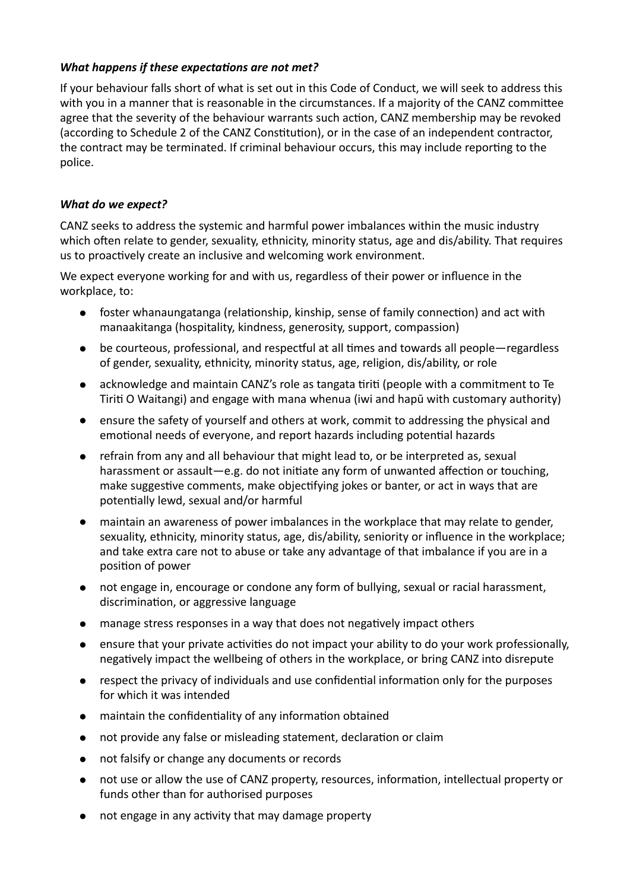## *What happens if these expectations are not met?*

If your behaviour falls short of what is set out in this Code of Conduct, we will seek to address this with you in a manner that is reasonable in the circumstances. If a majority of the CANZ committee agree that the severity of the behaviour warrants such action, CANZ membership may be revoked (according to Schedule 2 of the CANZ Constitution), or in the case of an independent contractor, the contract may be terminated. If criminal behaviour occurs, this may include reporting to the police.

#### What do we expect?

CANZ seeks to address the systemic and harmful power imbalances within the music industry which often relate to gender, sexuality, ethnicity, minority status, age and dis/ability. That requires us to proactively create an inclusive and welcoming work environment.

We expect everyone working for and with us, regardless of their power or influence in the workplace, to:

- foster whanaungatanga (relationship, kinship, sense of family connection) and act with manaakitanga (hospitality, kindness, generosity, support, compassion)
- be courteous, professional, and respectful at all times and towards all people—regardless of gender, sexuality, ethnicity, minority status, age, religion, dis/ability, or role
- acknowledge and maintain CANZ's role as tangata tiriti (people with a commitment to Te Tiriti O Waitangi) and engage with mana whenua (iwi and hapū with customary authority)
- ensure the safety of yourself and others at work, commit to addressing the physical and emotional needs of everyone, and report hazards including potential hazards
- refrain from any and all behaviour that might lead to, or be interpreted as, sexual harassment or assault—e.g. do not initiate any form of unwanted affection or touching. make suggestive comments, make objectifying jokes or banter, or act in ways that are potentially lewd, sexual and/or harmful
- maintain an awareness of power imbalances in the workplace that may relate to gender, sexuality, ethnicity, minority status, age, dis/ability, seniority or influence in the workplace; and take extra care not to abuse or take any advantage of that imbalance if you are in a position of power
- not engage in, encourage or condone any form of bullying, sexual or racial harassment, discrimination, or aggressive language
- manage stress responses in a way that does not negatively impact others
- ensure that your private activities do not impact your ability to do your work professionally, negatively impact the wellbeing of others in the workplace, or bring CANZ into disrepute
- respect the privacy of individuals and use confidential information only for the purposes for which it was intended
- maintain the confidentiality of any information obtained
- not provide any false or misleading statement, declaration or claim
- not falsify or change any documents or records
- not use or allow the use of CANZ property, resources, information, intellectual property or funds other than for authorised purposes
- not engage in any activity that may damage property